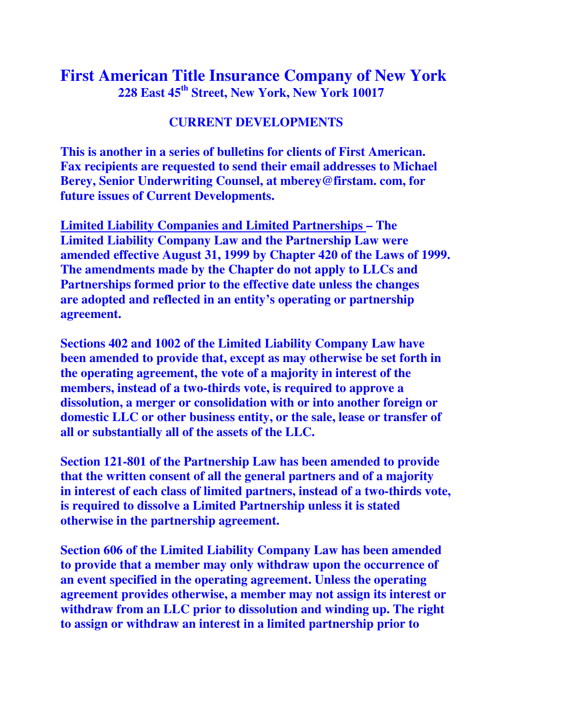## **First American Title Insurance Company of New York 228 East 45th Street, New York, New York 10017**

## **CURRENT DEVELOPMENTS**

**This is another in a series of bulletins for clients of First American. Fax recipients are requested to send their email addresses to Michael Berey, Senior Underwriting Counsel, at mberey@firstam. com, for future issues of Current Developments.** 

**Limited Liability Companies and Limited Partnerships – The Limited Liability Company Law and the Partnership Law were amended effective August 31, 1999 by Chapter 420 of the Laws of 1999. The amendments made by the Chapter do not apply to LLCs and Partnerships formed prior to the effective date unless the changes are adopted and reflected in an entity's operating or partnership agreement.** 

**Sections 402 and 1002 of the Limited Liability Company Law have been amended to provide that, except as may otherwise be set forth in the operating agreement, the vote of a majority in interest of the members, instead of a two-thirds vote, is required to approve a dissolution, a merger or consolidation with or into another foreign or domestic LLC or other business entity, or the sale, lease or transfer of all or substantially all of the assets of the LLC.** 

**Section 121-801 of the Partnership Law has been amended to provide that the written consent of all the general partners and of a majority in interest of each class of limited partners, instead of a two-thirds vote, is required to dissolve a Limited Partnership unless it is stated otherwise in the partnership agreement.** 

**Section 606 of the Limited Liability Company Law has been amended to provide that a member may only withdraw upon the occurrence of an event specified in the operating agreement. Unless the operating agreement provides otherwise, a member may not assign its interest or withdraw from an LLC prior to dissolution and winding up. The right to assign or withdraw an interest in a limited partnership prior to**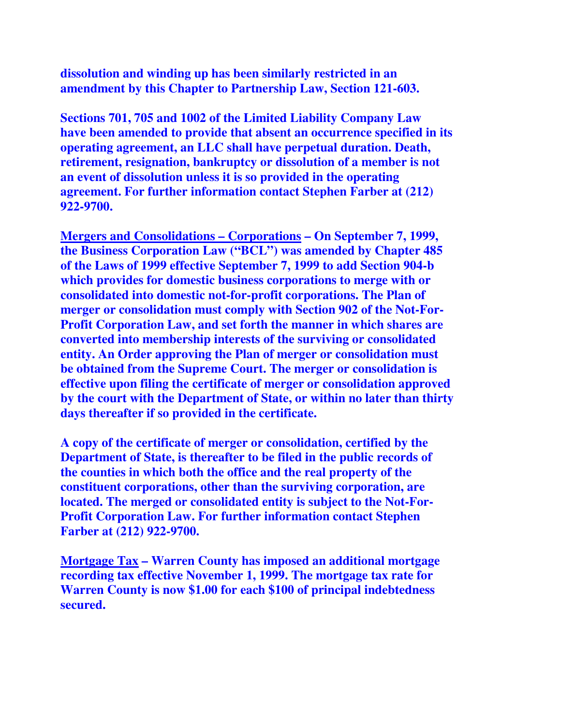**dissolution and winding up has been similarly restricted in an amendment by this Chapter to Partnership Law, Section 121-603.** 

**Sections 701, 705 and 1002 of the Limited Liability Company Law have been amended to provide that absent an occurrence specified in its operating agreement, an LLC shall have perpetual duration. Death, retirement, resignation, bankruptcy or dissolution of a member is not an event of dissolution unless it is so provided in the operating agreement. For further information contact Stephen Farber at (212) 922-9700.** 

**Mergers and Consolidations – Corporations – On September 7, 1999, the Business Corporation Law ("BCL") was amended by Chapter 485 of the Laws of 1999 effective September 7, 1999 to add Section 904-b which provides for domestic business corporations to merge with or consolidated into domestic not-for-profit corporations. The Plan of merger or consolidation must comply with Section 902 of the Not-For-Profit Corporation Law, and set forth the manner in which shares are converted into membership interests of the surviving or consolidated entity. An Order approving the Plan of merger or consolidation must be obtained from the Supreme Court. The merger or consolidation is effective upon filing the certificate of merger or consolidation approved by the court with the Department of State, or within no later than thirty days thereafter if so provided in the certificate.** 

**A copy of the certificate of merger or consolidation, certified by the Department of State, is thereafter to be filed in the public records of the counties in which both the office and the real property of the constituent corporations, other than the surviving corporation, are located. The merged or consolidated entity is subject to the Not-For-Profit Corporation Law. For further information contact Stephen Farber at (212) 922-9700.** 

**Mortgage Tax – Warren County has imposed an additional mortgage recording tax effective November 1, 1999. The mortgage tax rate for Warren County is now \$1.00 for each \$100 of principal indebtedness secured.**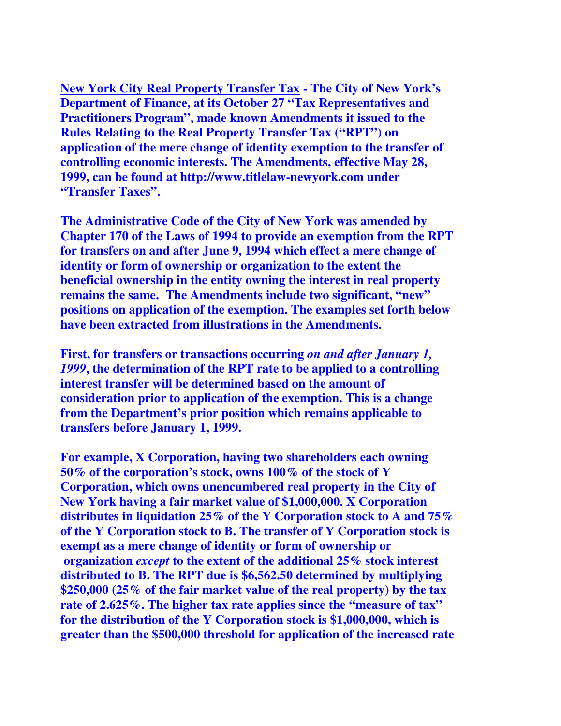**New York City Real Property Transfer Tax - The City of New York's Department of Finance, at its October 27 "Tax Representatives and Practitioners Program", made known Amendments it issued to the Rules Relating to the Real Property Transfer Tax ("RPT") on application of the mere change of identity exemption to the transfer of controlling economic interests. The Amendments, effective May 28, 1999, can be found at http://www.titlelaw-newyork.com under "Transfer Taxes".** 

**The Administrative Code of the City of New York was amended by Chapter 170 of the Laws of 1994 to provide an exemption from the RPT for transfers on and after June 9, 1994 which effect a mere change of identity or form of ownership or organization to the extent the beneficial ownership in the entity owning the interest in real property remains the same. The Amendments include two significant, "new" positions on application of the exemption. The examples set forth below have been extracted from illustrations in the Amendments.** 

**First, for transfers or transactions occurring** *on and after January 1, 1999***, the determination of the RPT rate to be applied to a controlling interest transfer will be determined based on the amount of consideration prior to application of the exemption. This is a change from the Department's prior position which remains applicable to transfers before January 1, 1999.** 

**For example, X Corporation, having two shareholders each owning 50% of the corporation's stock, owns 100% of the stock of Y Corporation, which owns unencumbered real property in the City of New York having a fair market value of \$1,000,000. X Corporation distributes in liquidation 25% of the Y Corporation stock to A and 75% of the Y Corporation stock to B. The transfer of Y Corporation stock is exempt as a mere change of identity or form of ownership or organization** *except* **to the extent of the additional 25% stock interest distributed to B. The RPT due is \$6,562.50 determined by multiplying \$250,000 (25% of the fair market value of the real property) by the tax rate of 2.625%. The higher tax rate applies since the "measure of tax" for the distribution of the Y Corporation stock is \$1,000,000, which is greater than the \$500,000 threshold for application of the increased rate**